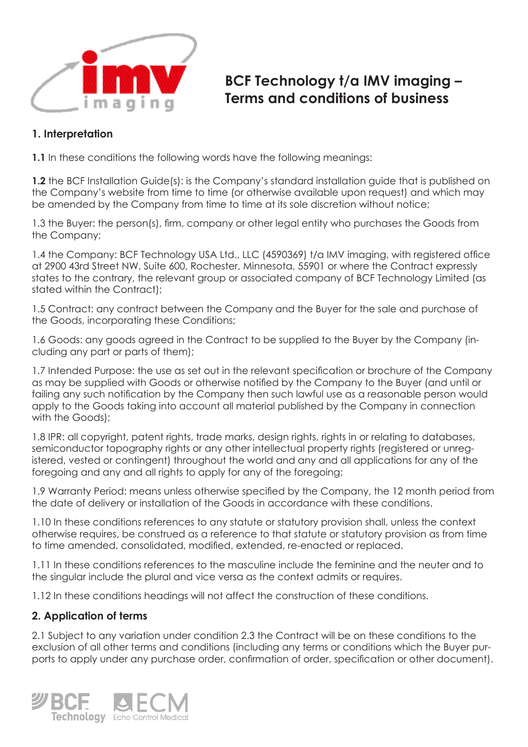

# **BCF Technology t/a IMV imaging – Terms and conditions of business**

## **1. Interpretation**

**1.1** In these conditions the following words have the following meanings:

**1.2** the BCF Installation Guide(s): is the Company's standard installation guide that is published on the Company's website from time to time (or otherwise available upon request) and which may be amended by the Company from time to time at its sole discretion without notice;

1.3 the Buyer: the person(s), firm, company or other legal entity who purchases the Goods from the Company;

1.4 the Company: BCF Technology USA Ltd., LLC (4590369) t/a IMV imaging, with registered office at 2900 43rd Street NW, Suite 600, Rochester, Minnesota, 55901 or where the Contract expressly states to the contrary, the relevant group or associated company of BCF Technology Limited (as stated within the Contract);

1.5 Contract: any contract between the Company and the Buyer for the sale and purchase of the Goods, incorporating these Conditions;

1.6 Goods: any goods agreed in the Contract to be supplied to the Buyer by the Company (including any part or parts of them);

1.7 Intended Purpose: the use as set out in the relevant specification or brochure of the Company as may be supplied with Goods or otherwise notified by the Company to the Buyer (and until or failing any such notification by the Company then such lawful use as a reasonable person would apply to the Goods taking into account all material published by the Company in connection with the Goods);

1.8 IPR: all copyright, patent rights, trade marks, design rights, rights in or relating to databases, semiconductor topography rights or any other intellectual property rights (registered or unregistered, vested or contingent) throughout the world and any and all applications for any of the foregoing and any and all rights to apply for any of the foregoing;

1.9 Warranty Period: means unless otherwise specified by the Company, the 12 month period from the date of delivery or installation of the Goods in accordance with these conditions.

1.10 In these conditions references to any statute or statutory provision shall, unless the context otherwise requires, be construed as a reference to that statute or statutory provision as from time to time amended, consolidated, modified, extended, re-enacted or replaced.

1.11 In these conditions references to the masculine include the feminine and the neuter and to the singular include the plural and vice versa as the context admits or requires.

1.12 In these conditions headings will not affect the construction of these conditions.

## **2. Application of terms**

2.1 Subject to any variation under condition 2.3 the Contract will be on these conditions to the exclusion of all other terms and conditions (including any terms or conditions which the Buyer purports to apply under any purchase order, confirmation of order, specification or other document).

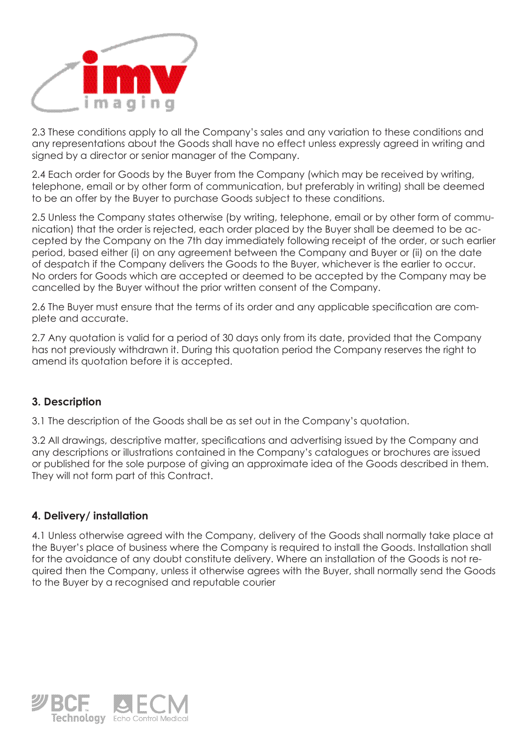

2.3 These conditions apply to all the Company's sales and any variation to these conditions and any representations about the Goods shall have no effect unless expressly agreed in writing and signed by a director or senior manager of the Company.

2.4 Each order for Goods by the Buyer from the Company (which may be received by writing, telephone, email or by other form of communication, but preferably in writing) shall be deemed to be an offer by the Buyer to purchase Goods subject to these conditions.

2.5 Unless the Company states otherwise (by writing, telephone, email or by other form of communication) that the order is rejected, each order placed by the Buyer shall be deemed to be accepted by the Company on the 7th day immediately following receipt of the order, or such earlier period, based either (i) on any agreement between the Company and Buyer or (ii) on the date of despatch if the Company delivers the Goods to the Buyer, whichever is the earlier to occur. No orders for Goods which are accepted or deemed to be accepted by the Company may be cancelled by the Buyer without the prior written consent of the Company.

2.6 The Buyer must ensure that the terms of its order and any applicable specification are complete and accurate.

2.7 Any quotation is valid for a period of 30 days only from its date, provided that the Company has not previously withdrawn it. During this quotation period the Company reserves the right to amend its quotation before it is accepted.

## **3. Description**

3.1 The description of the Goods shall be as set out in the Company's quotation.

3.2 All drawings, descriptive matter, specifications and advertising issued by the Company and any descriptions or illustrations contained in the Company's catalogues or brochures are issued or published for the sole purpose of giving an approximate idea of the Goods described in them. They will not form part of this Contract.

#### **4. Delivery/ installation**

4.1 Unless otherwise agreed with the Company, delivery of the Goods shall normally take place at the Buyer's place of business where the Company is required to install the Goods. Installation shall for the avoidance of any doubt constitute delivery. Where an installation of the Goods is not required then the Company, unless it otherwise agrees with the Buyer, shall normally send the Goods to the Buyer by a recognised and reputable courier

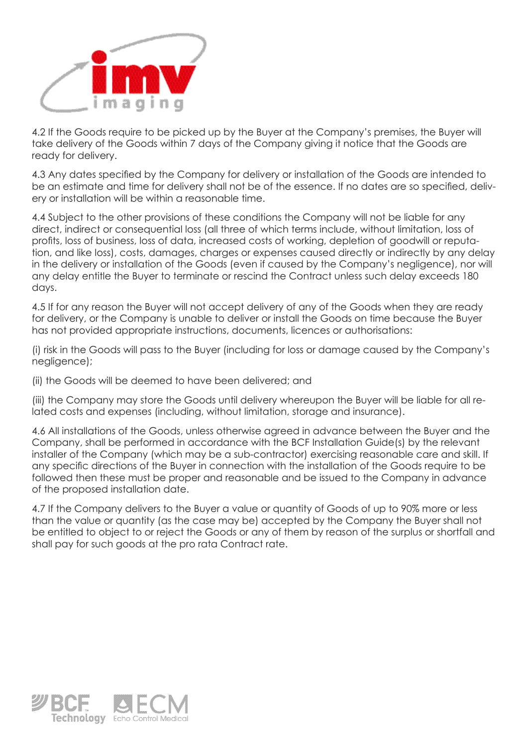

4.2 If the Goods require to be picked up by the Buyer at the Company's premises, the Buyer will take delivery of the Goods within 7 days of the Company giving it notice that the Goods are ready for delivery.

4.3 Any dates specified by the Company for delivery or installation of the Goods are intended to be an estimate and time for delivery shall not be of the essence. If no dates are so specified, delivery or installation will be within a reasonable time.

4.4 Subject to the other provisions of these conditions the Company will not be liable for any direct, indirect or consequential loss (all three of which terms include, without limitation, loss of profits, loss of business, loss of data, increased costs of working, depletion of goodwill or reputation, and like loss), costs, damages, charges or expenses caused directly or indirectly by any delay in the delivery or installation of the Goods (even if caused by the Company's negligence), nor will any delay entitle the Buyer to terminate or rescind the Contract unless such delay exceeds 180 days.

4.5 If for any reason the Buyer will not accept delivery of any of the Goods when they are ready for delivery, or the Company is unable to deliver or install the Goods on time because the Buyer has not provided appropriate instructions, documents, licences or authorisations:

(i) risk in the Goods will pass to the Buyer (including for loss or damage caused by the Company's negligence);

(ii) the Goods will be deemed to have been delivered; and

(iii) the Company may store the Goods until delivery whereupon the Buyer will be liable for all related costs and expenses (including, without limitation, storage and insurance).

4.6 All installations of the Goods, unless otherwise agreed in advance between the Buyer and the Company, shall be performed in accordance with the BCF Installation Guide(s) by the relevant installer of the Company (which may be a sub-contractor) exercising reasonable care and skill. If any specific directions of the Buyer in connection with the installation of the Goods require to be followed then these must be proper and reasonable and be issued to the Company in advance of the proposed installation date.

4.7 If the Company delivers to the Buyer a value or quantity of Goods of up to 90% more or less than the value or quantity (as the case may be) accepted by the Company the Buyer shall not be entitled to object to or reject the Goods or any of them by reason of the surplus or shortfall and shall pay for such goods at the pro rata Contract rate.

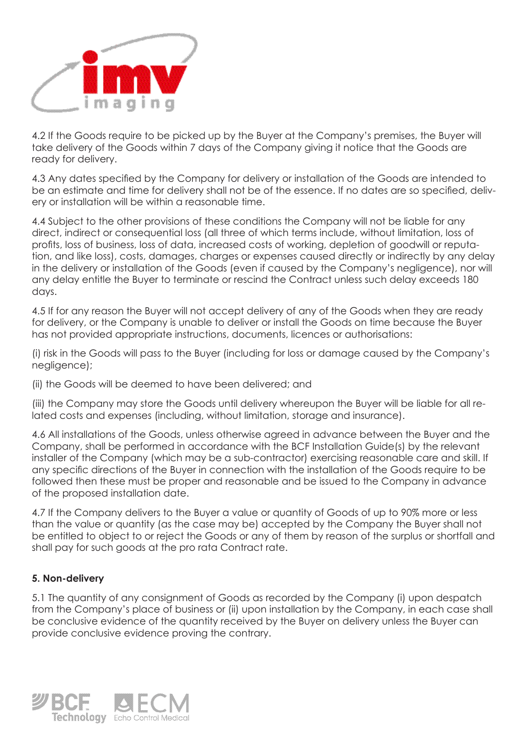

4.2 If the Goods require to be picked up by the Buyer at the Company's premises, the Buyer will take delivery of the Goods within 7 days of the Company giving it notice that the Goods are ready for delivery.

4.3 Any dates specified by the Company for delivery or installation of the Goods are intended to be an estimate and time for delivery shall not be of the essence. If no dates are so specified, delivery or installation will be within a reasonable time.

4.4 Subject to the other provisions of these conditions the Company will not be liable for any direct, indirect or consequential loss (all three of which terms include, without limitation, loss of profits, loss of business, loss of data, increased costs of working, depletion of goodwill or reputation, and like loss), costs, damages, charges or expenses caused directly or indirectly by any delay in the delivery or installation of the Goods (even if caused by the Company's negligence), nor will any delay entitle the Buyer to terminate or rescind the Contract unless such delay exceeds 180 days.

4.5 If for any reason the Buyer will not accept delivery of any of the Goods when they are ready for delivery, or the Company is unable to deliver or install the Goods on time because the Buyer has not provided appropriate instructions, documents, licences or authorisations:

(i) risk in the Goods will pass to the Buyer (including for loss or damage caused by the Company's negligence);

(ii) the Goods will be deemed to have been delivered; and

(iii) the Company may store the Goods until delivery whereupon the Buyer will be liable for all related costs and expenses (including, without limitation, storage and insurance).

4.6 All installations of the Goods, unless otherwise agreed in advance between the Buyer and the Company, shall be performed in accordance with the BCF Installation Guide(s) by the relevant installer of the Company (which may be a sub-contractor) exercising reasonable care and skill. If any specific directions of the Buyer in connection with the installation of the Goods require to be followed then these must be proper and reasonable and be issued to the Company in advance of the proposed installation date.

4.7 If the Company delivers to the Buyer a value or quantity of Goods of up to 90% more or less than the value or quantity (as the case may be) accepted by the Company the Buyer shall not be entitled to object to or reject the Goods or any of them by reason of the surplus or shortfall and shall pay for such goods at the pro rata Contract rate.

#### **5. Non-delivery**

5.1 The quantity of any consignment of Goods as recorded by the Company (i) upon despatch from the Company's place of business or (ii) upon installation by the Company, in each case shall be conclusive evidence of the quantity received by the Buyer on delivery unless the Buyer can provide conclusive evidence proving the contrary.

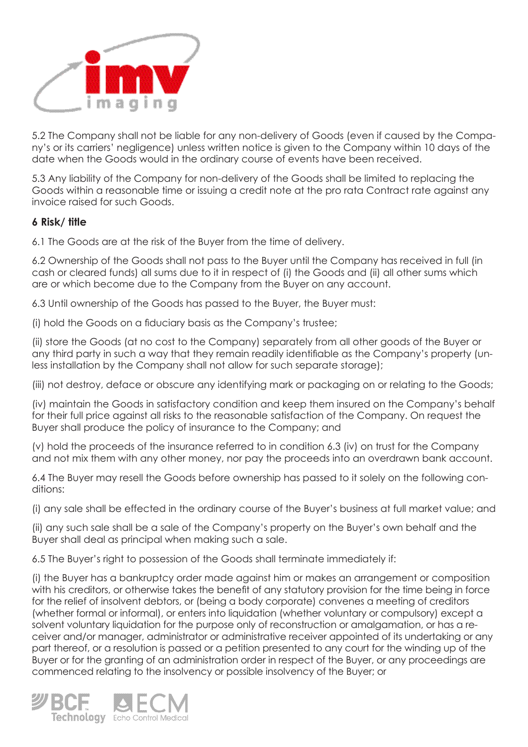

5.2 The Company shall not be liable for any non-delivery of Goods (even if caused by the Company's or its carriers' negligence) unless written notice is given to the Company within 10 days of the date when the Goods would in the ordinary course of events have been received.

5.3 Any liability of the Company for non-delivery of the Goods shall be limited to replacing the Goods within a reasonable time or issuing a credit note at the pro rata Contract rate against any invoice raised for such Goods.

## **6 Risk/ title**

6.1 The Goods are at the risk of the Buyer from the time of delivery.

6.2 Ownership of the Goods shall not pass to the Buyer until the Company has received in full (in cash or cleared funds) all sums due to it in respect of (i) the Goods and (ii) all other sums which are or which become due to the Company from the Buyer on any account.

6.3 Until ownership of the Goods has passed to the Buyer, the Buyer must:

(i) hold the Goods on a fiduciary basis as the Company's trustee;

(ii) store the Goods (at no cost to the Company) separately from all other goods of the Buyer or any third party in such a way that they remain readily identifiable as the Company's property (unless installation by the Company shall not allow for such separate storage);

(iii) not destroy, deface or obscure any identifying mark or packaging on or relating to the Goods;

(iv) maintain the Goods in satisfactory condition and keep them insured on the Company's behalf for their full price against all risks to the reasonable satisfaction of the Company. On request the Buyer shall produce the policy of insurance to the Company; and

(v) hold the proceeds of the insurance referred to in condition 6.3 (iv) on trust for the Company and not mix them with any other money, nor pay the proceeds into an overdrawn bank account.

6.4 The Buyer may resell the Goods before ownership has passed to it solely on the following conditions:

(i) any sale shall be effected in the ordinary course of the Buyer's business at full market value; and

(ii) any such sale shall be a sale of the Company's property on the Buyer's own behalf and the Buyer shall deal as principal when making such a sale.

6.5 The Buyer's right to possession of the Goods shall terminate immediately if:

(i) the Buyer has a bankruptcy order made against him or makes an arrangement or composition with his creditors, or otherwise takes the benefit of any statutory provision for the time being in force for the relief of insolvent debtors, or (being a body corporate) convenes a meeting of creditors (whether formal or informal), or enters into liquidation (whether voluntary or compulsory) except a solvent voluntary liquidation for the purpose only of reconstruction or amalgamation, or has a receiver and/or manager, administrator or administrative receiver appointed of its undertaking or any part thereof, or a resolution is passed or a petition presented to any court for the winding up of the Buyer or for the granting of an administration order in respect of the Buyer, or any proceedings are commenced relating to the insolvency or possible insolvency of the Buyer; or

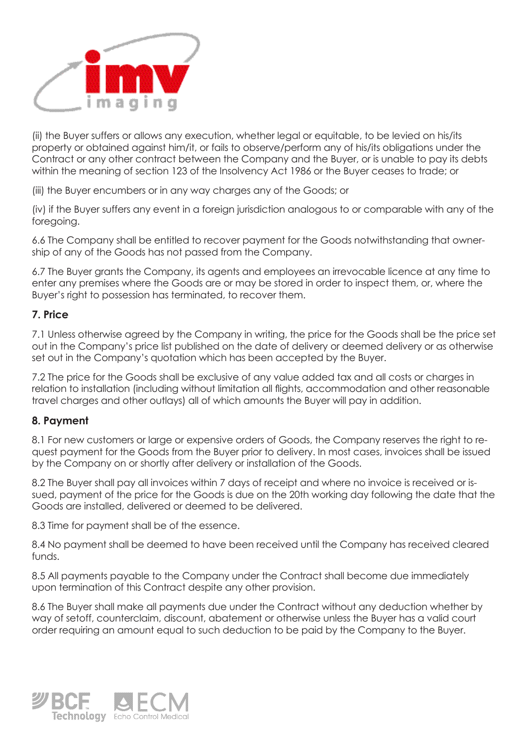

(ii) the Buyer suffers or allows any execution, whether legal or equitable, to be levied on his/its property or obtained against him/it, or fails to observe/perform any of his/its obligations under the Contract or any other contract between the Company and the Buyer, or is unable to pay its debts within the meaning of section 123 of the Insolvency Act 1986 or the Buyer ceases to trade; or

(iii) the Buyer encumbers or in any way charges any of the Goods; or

(iv) if the Buyer suffers any event in a foreign jurisdiction analogous to or comparable with any of the foregoing.

6.6 The Company shall be entitled to recover payment for the Goods notwithstanding that ownership of any of the Goods has not passed from the Company.

6.7 The Buyer grants the Company, its agents and employees an irrevocable licence at any time to enter any premises where the Goods are or may be stored in order to inspect them, or, where the Buyer's right to possession has terminated, to recover them.

#### **7. Price**

7.1 Unless otherwise agreed by the Company in writing, the price for the Goods shall be the price set out in the Company's price list published on the date of delivery or deemed delivery or as otherwise set out in the Company's quotation which has been accepted by the Buyer.

7.2 The price for the Goods shall be exclusive of any value added tax and all costs or charges in relation to installation (including without limitation all flights, accommodation and other reasonable travel charges and other outlays) all of which amounts the Buyer will pay in addition.

#### **8. Payment**

8.1 For new customers or large or expensive orders of Goods, the Company reserves the right to request payment for the Goods from the Buyer prior to delivery. In most cases, invoices shall be issued by the Company on or shortly after delivery or installation of the Goods.

8.2 The Buyer shall pay all invoices within 7 days of receipt and where no invoice is received or issued, payment of the price for the Goods is due on the 20th working day following the date that the Goods are installed, delivered or deemed to be delivered.

8.3 Time for payment shall be of the essence.

8.4 No payment shall be deemed to have been received until the Company has received cleared funds.

8.5 All payments payable to the Company under the Contract shall become due immediately upon termination of this Contract despite any other provision.

8.6 The Buyer shall make all payments due under the Contract without any deduction whether by way of setoff, counterclaim, discount, abatement or otherwise unless the Buyer has a valid court order requiring an amount equal to such deduction to be paid by the Company to the Buyer.

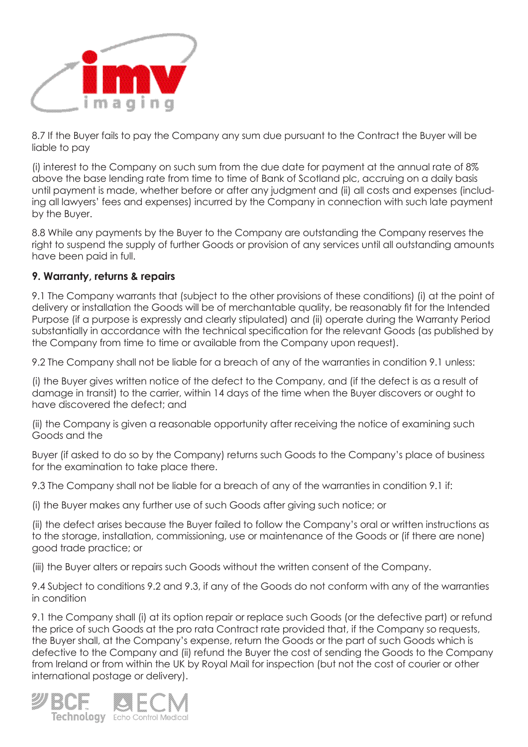

8.7 If the Buyer fails to pay the Company any sum due pursuant to the Contract the Buyer will be liable to pay

(i) interest to the Company on such sum from the due date for payment at the annual rate of 8% above the base lending rate from time to time of Bank of Scotland plc, accruing on a daily basis until payment is made, whether before or after any judgment and (ii) all costs and expenses (including all lawyers' fees and expenses) incurred by the Company in connection with such late payment by the Buyer.

8.8 While any payments by the Buyer to the Company are outstanding the Company reserves the right to suspend the supply of further Goods or provision of any services until all outstanding amounts have been paid in full.

## **9. Warranty, returns & repairs**

9.1 The Company warrants that (subject to the other provisions of these conditions) (i) at the point of delivery or installation the Goods will be of merchantable quality, be reasonably fit for the Intended Purpose (if a purpose is expressly and clearly stipulated) and (ii) operate during the Warranty Period substantially in accordance with the technical specification for the relevant Goods (as published by the Company from time to time or available from the Company upon request).

9.2 The Company shall not be liable for a breach of any of the warranties in condition 9.1 unless:

(i) the Buyer gives written notice of the defect to the Company, and (if the defect is as a result of damage in transit) to the carrier, within 14 days of the time when the Buyer discovers or ought to have discovered the defect; and

(ii) the Company is given a reasonable opportunity after receiving the notice of examining such Goods and the

Buyer (if asked to do so by the Company) returns such Goods to the Company's place of business for the examination to take place there.

9.3 The Company shall not be liable for a breach of any of the warranties in condition 9.1 if:

(i) the Buyer makes any further use of such Goods after giving such notice; or

(ii) the defect arises because the Buyer failed to follow the Company's oral or written instructions as to the storage, installation, commissioning, use or maintenance of the Goods or (if there are none) good trade practice; or

(iii) the Buyer alters or repairs such Goods without the written consent of the Company.

9.4 Subject to conditions 9.2 and 9.3, if any of the Goods do not conform with any of the warranties in condition

9.1 the Company shall (i) at its option repair or replace such Goods (or the defective part) or refund the price of such Goods at the pro rata Contract rate provided that, if the Company so requests, the Buyer shall, at the Company's expense, return the Goods or the part of such Goods which is defective to the Company and (ii) refund the Buyer the cost of sending the Goods to the Company from Ireland or from within the UK by Royal Mail for inspection (but not the cost of courier or other international postage or delivery).

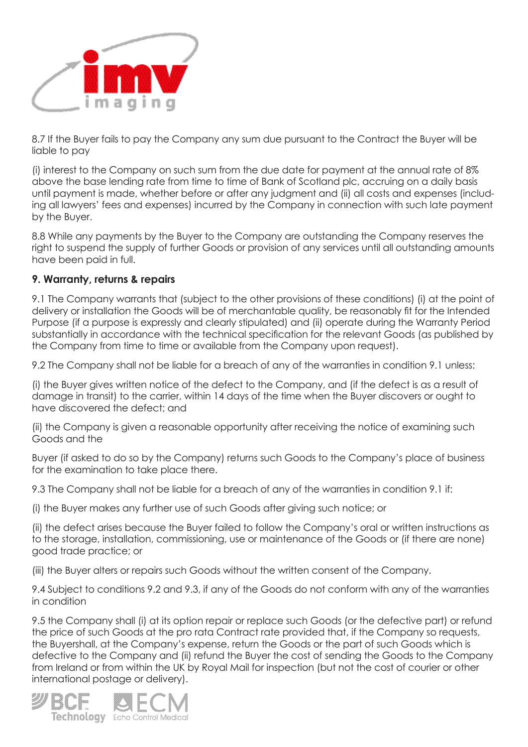

8.7 If the Buyer fails to pay the Company any sum due pursuant to the Contract the Buyer will be liable to pay

(i) interest to the Company on such sum from the due date for payment at the annual rate of 8% above the base lending rate from time to time of Bank of Scotland plc, accruing on a daily basis until payment is made, whether before or after any judgment and (ii) all costs and expenses (including all lawyers' fees and expenses) incurred by the Company in connection with such late payment by the Buyer.

8.8 While any payments by the Buyer to the Company are outstanding the Company reserves the right to suspend the supply of further Goods or provision of any services until all outstanding amounts have been paid in full.

## **9. Warranty, returns & repairs**

9.1 The Company warrants that (subject to the other provisions of these conditions) (i) at the point of delivery or installation the Goods will be of merchantable quality, be reasonably fit for the Intended Purpose (if a purpose is expressly and clearly stipulated) and (ii) operate during the Warranty Period substantially in accordance with the technical specification for the relevant Goods (as published by the Company from time to time or available from the Company upon request).

9.2 The Company shall not be liable for a breach of any of the warranties in condition 9.1 unless:

(i) the Buyer gives written notice of the defect to the Company, and (if the defect is as a result of damage in transit) to the carrier, within 14 days of the time when the Buyer discovers or ought to have discovered the defect; and

(ii) the Company is given a reasonable opportunity after receiving the notice of examining such Goods and the

Buyer (if asked to do so by the Company) returns such Goods to the Company's place of business for the examination to take place there.

9.3 The Company shall not be liable for a breach of any of the warranties in condition 9.1 if:

(i) the Buyer makes any further use of such Goods after giving such notice; or

(ii) the defect arises because the Buyer failed to follow the Company's oral or written instructions as to the storage, installation, commissioning, use or maintenance of the Goods or (if there are none) good trade practice; or

(iii) the Buyer alters or repairs such Goods without the written consent of the Company.

9.4 Subject to conditions 9.2 and 9.3, if any of the Goods do not conform with any of the warranties in condition

9.5 the Company shall (i) at its option repair or replace such Goods (or the defective part) or refund the price of such Goods at the pro rata Contract rate provided that, if the Company so requests, the Buyershall, at the Company's expense, return the Goods or the part of such Goods which is defective to the Company and (ii) refund the Buyer the cost of sending the Goods to the Company from Ireland or from within the UK by Royal Mail for inspection (but not the cost of courier or other international postage or delivery).

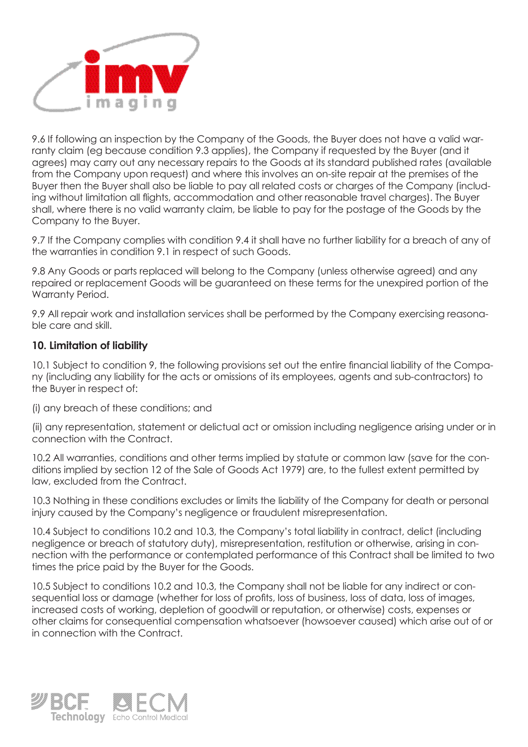

9.6 If following an inspection by the Company of the Goods, the Buyer does not have a valid warranty claim (eg because condition 9.3 applies), the Company if requested by the Buyer (and it agrees) may carry out any necessary repairs to the Goods at its standard published rates (available from the Company upon request) and where this involves an on-site repair at the premises of the Buyer then the Buyer shall also be liable to pay all related costs or charges of the Company (including without limitation all flights, accommodation and other reasonable travel charges). The Buyer shall, where there is no valid warranty claim, be liable to pay for the postage of the Goods by the Company to the Buyer.

9.7 If the Company complies with condition 9.4 it shall have no further liability for a breach of any of the warranties in condition 9.1 in respect of such Goods.

9.8 Any Goods or parts replaced will belong to the Company (unless otherwise agreed) and any repaired or replacement Goods will be guaranteed on these terms for the unexpired portion of the Warranty Period.

9.9 All repair work and installation services shall be performed by the Company exercising reasonable care and skill.

#### **10. Limitation of liability**

10.1 Subject to condition 9, the following provisions set out the entire financial liability of the Company (including any liability for the acts or omissions of its employees, agents and sub-contractors) to the Buyer in respect of:

(i) any breach of these conditions; and

(ii) any representation, statement or delictual act or omission including negligence arising under or in connection with the Contract.

10.2 All warranties, conditions and other terms implied by statute or common law (save for the conditions implied by section 12 of the Sale of Goods Act 1979) are, to the fullest extent permitted by law, excluded from the Contract.

10.3 Nothing in these conditions excludes or limits the liability of the Company for death or personal injury caused by the Company's negligence or fraudulent misrepresentation.

10.4 Subject to conditions 10.2 and 10.3, the Company's total liability in contract, delict (including negligence or breach of statutory duty), misrepresentation, restitution or otherwise, arising in connection with the performance or contemplated performance of this Contract shall be limited to two times the price paid by the Buyer for the Goods.

10.5 Subject to conditions 10.2 and 10.3, the Company shall not be liable for any indirect or consequential loss or damage (whether for loss of profits, loss of business, loss of data, loss of images, increased costs of working, depletion of goodwill or reputation, or otherwise) costs, expenses or other claims for consequential compensation whatsoever (howsoever caused) which arise out of or in connection with the Contract.

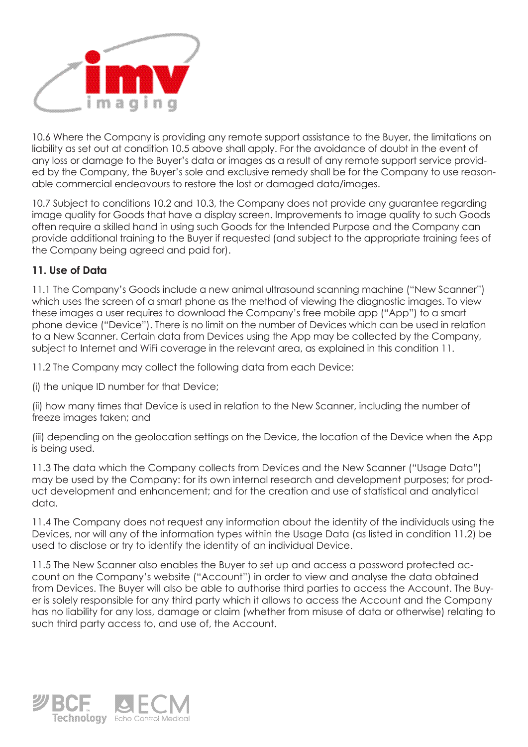

10.6 Where the Company is providing any remote support assistance to the Buyer, the limitations on liability as set out at condition 10.5 above shall apply. For the avoidance of doubt in the event of any loss or damage to the Buyer's data or images as a result of any remote support service provided by the Company, the Buyer's sole and exclusive remedy shall be for the Company to use reasonable commercial endeavours to restore the lost or damaged data/images.

10.7 Subject to conditions 10.2 and 10.3, the Company does not provide any guarantee regarding image quality for Goods that have a display screen. Improvements to image quality to such Goods often require a skilled hand in using such Goods for the Intended Purpose and the Company can provide additional training to the Buyer if requested (and subject to the appropriate training fees of the Company being agreed and paid for).

# **11. Use of Data**

11.1 The Company's Goods include a new animal ultrasound scanning machine ("New Scanner") which uses the screen of a smart phone as the method of viewing the diagnostic images. To view these images a user requires to download the Company's free mobile app ("App") to a smart phone device ("Device"). There is no limit on the number of Devices which can be used in relation to a New Scanner. Certain data from Devices using the App may be collected by the Company, subject to Internet and WiFi coverage in the relevant area, as explained in this condition 11.

11.2 The Company may collect the following data from each Device:

(i) the unique ID number for that Device;

(ii) how many times that Device is used in relation to the New Scanner, including the number of freeze images taken; and

(iii) depending on the geolocation settings on the Device, the location of the Device when the App is being used.

11.3 The data which the Company collects from Devices and the New Scanner ("Usage Data") may be used by the Company: for its own internal research and development purposes; for product development and enhancement; and for the creation and use of statistical and analytical data.

11.4 The Company does not request any information about the identity of the individuals using the Devices, nor will any of the information types within the Usage Data (as listed in condition 11.2) be used to disclose or try to identify the identity of an individual Device.

11.5 The New Scanner also enables the Buyer to set up and access a password protected account on the Company's website ("Account") in order to view and analyse the data obtained from Devices. The Buyer will also be able to authorise third parties to access the Account. The Buyer is solely responsible for any third party which it allows to access the Account and the Company has no liability for any loss, damage or claim (whether from misuse of data or otherwise) relating to such third party access to, and use of, the Account.

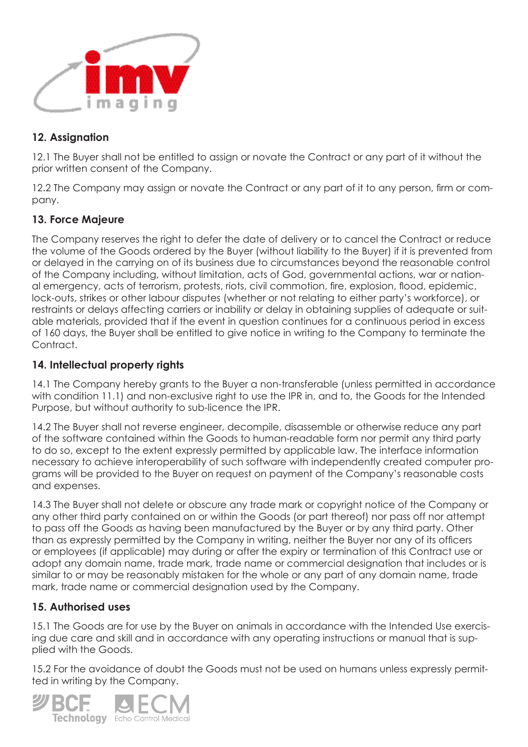

# **12. Assignation**

12.1 The Buyer shall not be entitled to assign or novate the Contract or any part of it without the prior written consent of the Company.

12.2 The Company may assign or novate the Contract or any part of it to any person, firm or company.

# **13. Force Majeure**

The Company reserves the right to defer the date of delivery or to cancel the Contract or reduce the volume of the Goods ordered by the Buyer (without liability to the Buyer) if it is prevented from or delayed in the carrying on of its business due to circumstances beyond the reasonable control of the Company including, without limitation, acts of God, governmental actions, war or national emergency, acts of terrorism, protests, riots, civil commotion, fire, explosion, flood, epidemic, lock-outs, strikes or other labour disputes (whether or not relating to either party's workforce), or restraints or delays affecting carriers or inability or delay in obtaining supplies of adequate or suitable materials, provided that if the event in question continues for a continuous period in excess of 160 days, the Buyer shall be entitled to give notice in writing to the Company to terminate the Contract.

## **14. Intellectual property rights**

14.1 The Company hereby grants to the Buyer a non-transferable (unless permitted in accordance with condition 11.1) and non-exclusive right to use the IPR in, and to, the Goods for the Intended Purpose, but without authority to sub-licence the IPR.

14.2 The Buyer shall not reverse engineer, decompile, disassemble or otherwise reduce any part of the software contained within the Goods to human-readable form nor permit any third party to do so, except to the extent expressly permitted by applicable law. The interface information necessary to achieve interoperability of such software with independently created computer programs will be provided to the Buyer on request on payment of the Company's reasonable costs and expenses.

14.3 The Buyer shall not delete or obscure any trade mark or copyright notice of the Company or any other third party contained on or within the Goods (or part thereof) nor pass off nor attempt to pass off the Goods as having been manufactured by the Buyer or by any third party. Other than as expressly permitted by the Company in writing, neither the Buyer nor any of its officers or employees (if applicable) may during or after the expiry or termination of this Contract use or adopt any domain name, trade mark, trade name or commercial designation that includes or is similar to or may be reasonably mistaken for the whole or any part of any domain name, trade mark, trade name or commercial designation used by the Company.

# **15. Authorised uses**

15.1 The Goods are for use by the Buyer on animals in accordance with the Intended Use exercising due care and skill and in accordance with any operating instructions or manual that is supplied with the Goods.

15.2 For the avoidance of doubt the Goods must not be used on humans unless expressly permitted in writing by the Company.

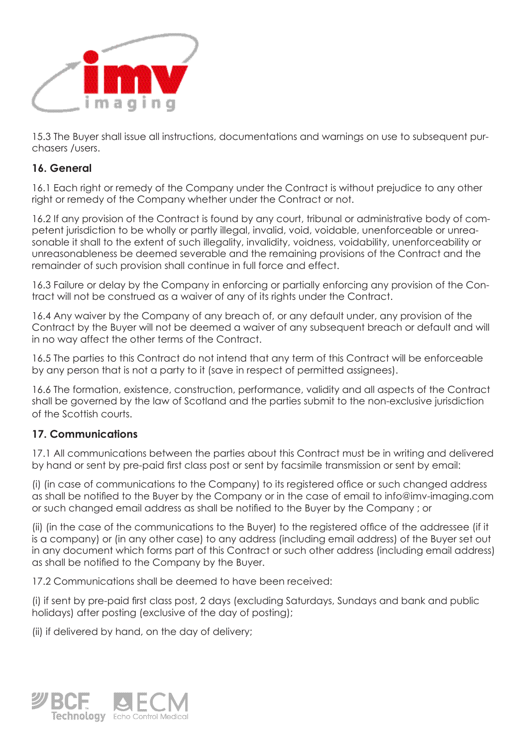

15.3 The Buyer shall issue all instructions, documentations and warnings on use to subsequent purchasers /users.

## **16. General**

16.1 Each right or remedy of the Company under the Contract is without prejudice to any other right or remedy of the Company whether under the Contract or not.

16.2 If any provision of the Contract is found by any court, tribunal or administrative body of competent jurisdiction to be wholly or partly illegal, invalid, void, voidable, unenforceable or unreasonable it shall to the extent of such illegality, invalidity, voidness, voidability, unenforceability or unreasonableness be deemed severable and the remaining provisions of the Contract and the remainder of such provision shall continue in full force and effect.

16.3 Failure or delay by the Company in enforcing or partially enforcing any provision of the Contract will not be construed as a waiver of any of its rights under the Contract.

16.4 Any waiver by the Company of any breach of, or any default under, any provision of the Contract by the Buyer will not be deemed a waiver of any subsequent breach or default and will in no way affect the other terms of the Contract.

16.5 The parties to this Contract do not intend that any term of this Contract will be enforceable by any person that is not a party to it (save in respect of permitted assignees).

16.6 The formation, existence, construction, performance, validity and all aspects of the Contract shall be governed by the law of Scotland and the parties submit to the non-exclusive jurisdiction of the Scottish courts.

## **17. Communications**

17.1 All communications between the parties about this Contract must be in writing and delivered by hand or sent by pre-paid first class post or sent by facsimile transmission or sent by email:

(i) (in case of communications to the Company) to its registered office or such changed address as shall be notified to the Buyer by the Company or in the case of email to info@imv-imaging.com or such changed email address as shall be notified to the Buyer by the Company ; or

(ii) (in the case of the communications to the Buyer) to the registered office of the addressee (if it is a company) or (in any other case) to any address (including email address) of the Buyer set out in any document which forms part of this Contract or such other address (including email address) as shall be notified to the Company by the Buyer.

17.2 Communications shall be deemed to have been received:

(i) if sent by pre-paid first class post, 2 days (excluding Saturdays, Sundays and bank and public holidays) after posting (exclusive of the day of posting);

(ii) if delivered by hand, on the day of delivery;